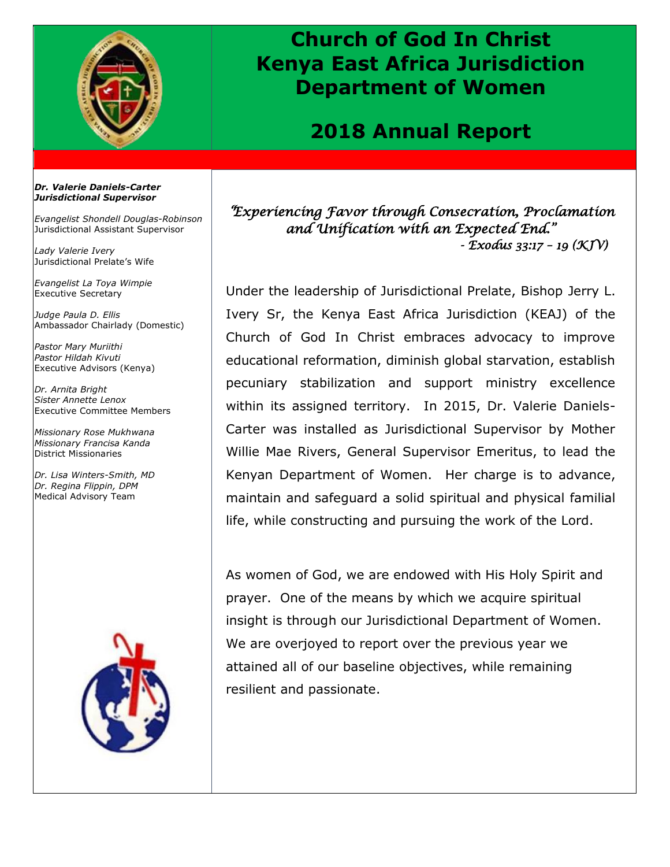

## **Church of God In Christ Kenya East Africa Jurisdiction Department of Women**

### **2018 Annual Report**

#### *Dr. Valerie Daniels-Carter Jurisdictional Supervisor*

*Evangelist Shondell Douglas-Robinson* Jurisdictional Assistant Supervisor

*Lady Valerie Ivery* Jurisdictional Prelate's Wife

*Evangelist La Toya Wimpie* Executive Secretary

*Judge Paula D. Ellis* Ambassador Chairlady (Domestic)

*Pastor Mary Muriithi Pastor Hildah Kivuti* Executive Advisors (Kenya)

*Dr. Arnita Bright Sister Annette Lenox* Executive Committee Members

*Missionary Rose Mukhwana Missionary Francisa Kanda* District Missionaries

*Dr. Lisa Winters-Smith, MD Dr. Regina Flippin, DPM* Medical Advisory Team



*"Experiencing Favor through Consecration, Proclamation and Unification with an Expected End." - Exodus 33:17 – 19 (KJV)* 

Under the leadership of Jurisdictional Prelate, Bishop Jerry L. Ivery Sr, the Kenya East Africa Jurisdiction (KEAJ) of the Church of God In Christ embraces advocacy to improve educational reformation, diminish global starvation, establish pecuniary stabilization and support ministry excellence within its assigned territory. In 2015, Dr. Valerie Daniels-Carter was installed as Jurisdictional Supervisor by Mother Willie Mae Rivers, General Supervisor Emeritus, to lead the Kenyan Department of Women. Her charge is to advance, maintain and safeguard a solid spiritual and physical familial life, while constructing and pursuing the work of the Lord.

As women of God, we are endowed with His Holy Spirit and prayer. One of the means by which we acquire spiritual insight is through our Jurisdictional Department of Women. We are overjoyed to report over the previous year we attained all of our baseline objectives, while remaining resilient and passionate.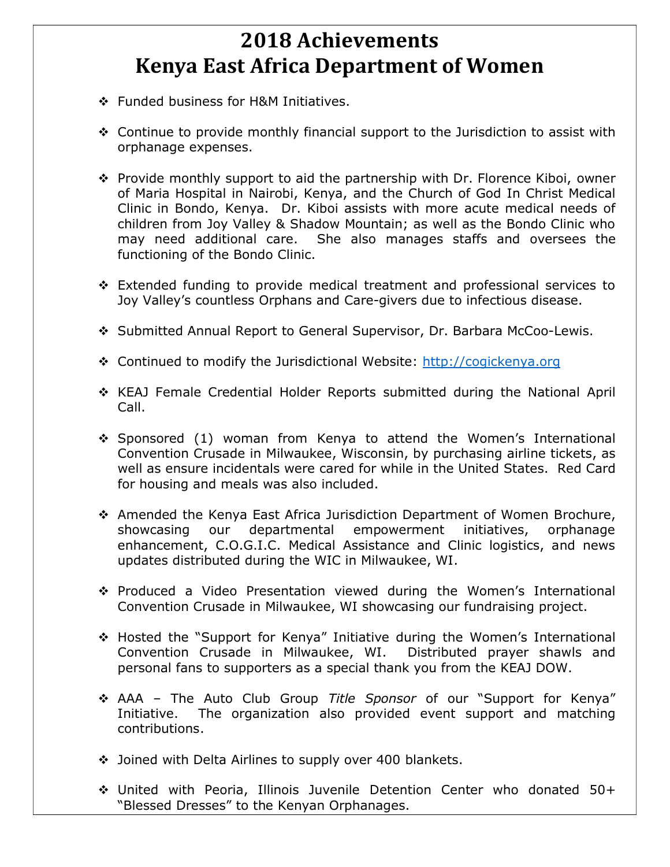# **2018 Achievements Kenya East Africa Department of Women**

- ❖ Funded business for H&M Initiatives.
- Continue to provide monthly financial support to the Jurisdiction to assist with orphanage expenses.
- Provide monthly support to aid the partnership with Dr. Florence Kiboi, owner of Maria Hospital in Nairobi, Kenya, and the Church of God In Christ Medical Clinic in Bondo, Kenya. Dr. Kiboi assists with more acute medical needs of children from Joy Valley & Shadow Mountain; as well as the Bondo Clinic who may need additional care. She also manages staffs and oversees the functioning of the Bondo Clinic.
- Extended funding to provide medical treatment and professional services to Joy Valley's countless Orphans and Care-givers due to infectious disease.
- Submitted Annual Report to General Supervisor, Dr. Barbara McCoo-Lewis.
- Continued to modify the Jurisdictional Website: [http://cogickenya.org](http://cogickenya.org/)
- \* KEAJ Female Credential Holder Reports submitted during the National April Call.
- Sponsored (1) woman from Kenya to attend the Women's International Convention Crusade in Milwaukee, Wisconsin, by purchasing airline tickets, as well as ensure incidentals were cared for while in the United States. Red Card for housing and meals was also included.
- Amended the Kenya East Africa Jurisdiction Department of Women Brochure, showcasing our departmental empowerment initiatives, orphanage enhancement, C.O.G.I.C. Medical Assistance and Clinic logistics, and news updates distributed during the WIC in Milwaukee, WI.
- Produced a Video Presentation viewed during the Women's International Convention Crusade in Milwaukee, WI showcasing our fundraising project.
- Hosted the "Support for Kenya" Initiative during the Women's International Convention Crusade in Milwaukee, WI. Distributed prayer shawls and personal fans to supporters as a special thank you from the KEAJ DOW.
- AAA The Auto Club Group *Title Sponsor* of our "Support for Kenya" Initiative. The organization also provided event support and matching contributions.
- Joined with Delta Airlines to supply over 400 blankets.
- United with Peoria, Illinois Juvenile Detention Center who donated 50+ "Blessed Dresses" to the Kenyan Orphanages.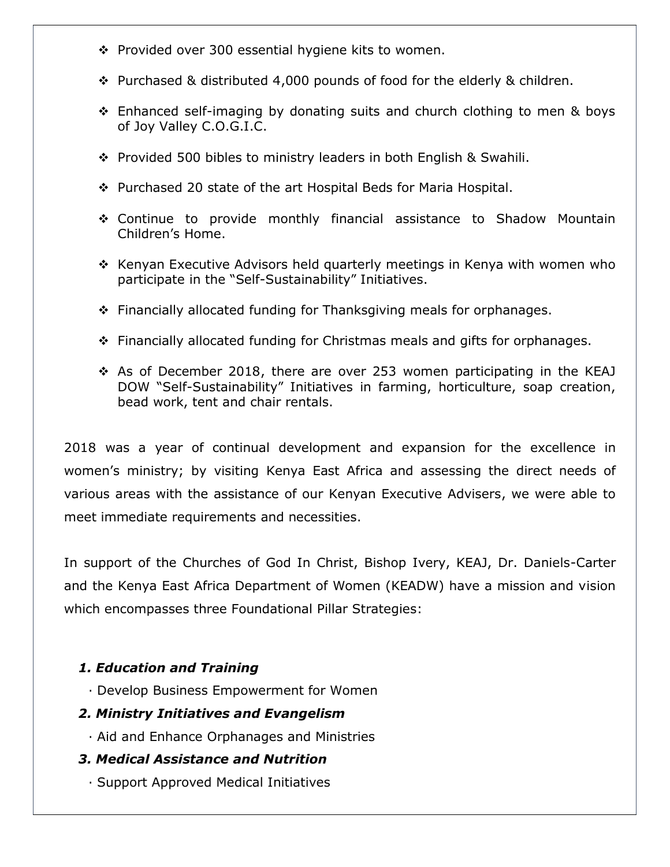- $\div$  Provided over 300 essential hygiene kits to women.
- $\div$  Purchased & distributed 4,000 pounds of food for the elderly & children.
- Enhanced self-imaging by donating suits and church clothing to men & boys of Joy Valley C.O.G.I.C.
- ◆ Provided 500 bibles to ministry leaders in both English & Swahili.
- Purchased 20 state of the art Hospital Beds for Maria Hospital.
- Continue to provide monthly financial assistance to Shadow Mountain Children's Home.
- $\div$  Kenyan Executive Advisors held quarterly meetings in Kenya with women who participate in the "Self-Sustainability" Initiatives.
- $\div$  Financially allocated funding for Thanksgiving meals for orphanages.
- Financially allocated funding for Christmas meals and gifts for orphanages.
- $\div$  As of December 2018, there are over 253 women participating in the KEAJ DOW "Self-Sustainability" Initiatives in farming, horticulture, soap creation, bead work, tent and chair rentals.

2018 was a year of continual development and expansion for the excellence in women's ministry; by visiting Kenya East Africa and assessing the direct needs of various areas with the assistance of our Kenyan Executive Advisers, we were able to meet immediate requirements and necessities.

In support of the Churches of God In Christ, Bishop Ivery, KEAJ, Dr. Daniels-Carter and the Kenya East Africa Department of Women (KEADW) have a mission and vision which encompasses three Foundational Pillar Strategies:

### *1. Education and Training*

· Develop Business Empowerment for Women

### *2. Ministry Initiatives and Evangelism*

· Aid and Enhance Orphanages and Ministries

### *3. Medical Assistance and Nutrition*

· Support Approved Medical Initiatives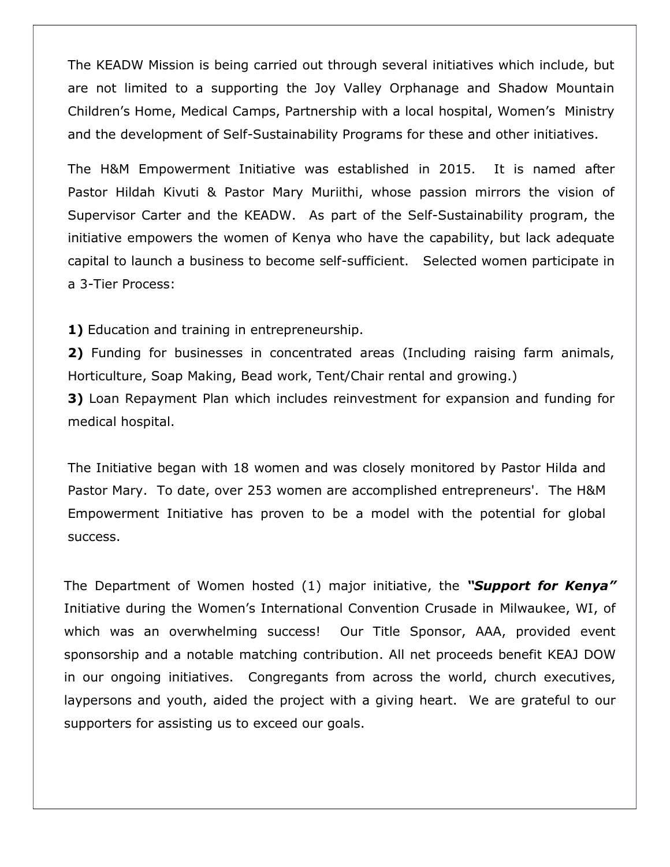The KEADW Mission is being carried out through several initiatives which include, but are not limited to a supporting the Joy Valley Orphanage and Shadow Mountain Children's Home, Medical Camps, Partnership with a local hospital, Women's Ministry and the development of Self-Sustainability Programs for these and other initiatives.

The H&M Empowerment Initiative was established in 2015. It is named after Pastor Hildah Kivuti & Pastor Mary Muriithi, whose passion mirrors the vision of Supervisor Carter and the KEADW. As part of the Self-Sustainability program, the initiative empowers the women of Kenya who have the capability, but lack adequate capital to launch a business to become self-sufficient. Selected women participate in a 3-Tier Process:

**1)** Education and training in entrepreneurship.

**2)** Funding for businesses in concentrated areas (Including raising farm animals, Horticulture, Soap Making, Bead work, Tent/Chair rental and growing.) **3)** Loan Repayment Plan which includes reinvestment for expansion and funding for

medical hospital.

The Initiative began with 18 women and was closely monitored by Pastor Hilda and Pastor Mary. To date, over 253 women are accomplished entrepreneurs'. The H&M Empowerment Initiative has proven to be a model with the potential for global success.

The Department of Women hosted (1) major initiative, the *"Support for Kenya"* Initiative during the Women's International Convention Crusade in Milwaukee, WI, of which was an overwhelming success! Our Title Sponsor, AAA, provided event sponsorship and a notable matching contribution. All net proceeds benefit KEAJ DOW in our ongoing initiatives. Congregants from across the world, church executives, laypersons and youth, aided the project with a giving heart. We are grateful to our supporters for assisting us to exceed our goals.